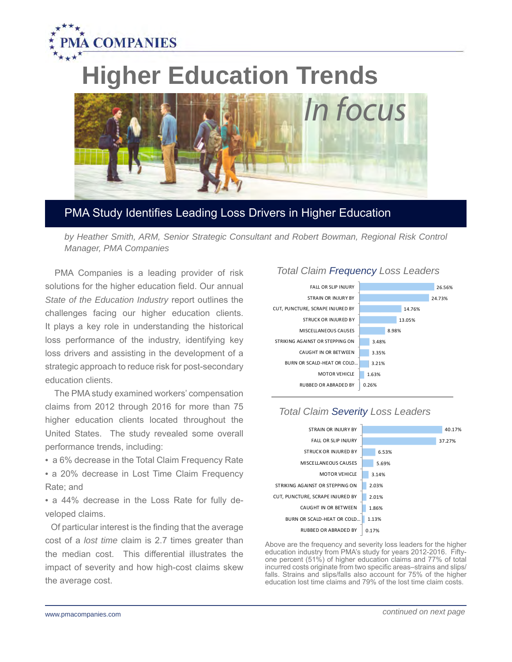

# **Higher Education Trends**



# PMA Study Identifies Leading Loss Drivers in Higher Education

*by Heather Smith, ARM, Senior Strategic Consultant and Robert Bowman, Regional Risk Control Manager, PMA Companies*

 PMA Companies is a leading provider of risk solutions for the higher education field. Our annual *State of the Education Industry* report outlines the challenges facing our higher education clients. It plays a key role in understanding the historical loss performance of the industry, identifying key loss drivers and assisting in the development of a strategic approach to reduce risk for post-secondary education clients.

 The PMA study examined workers' compensation claims from 2012 through 2016 for more than 75 higher education clients located throughout the United States. The study revealed some overall performance trends, including:

• a 6% decrease in the Total Claim Frequency Rate • a 20% decrease in Lost Time Claim Frequency Rate; and

• a 44% decrease in the Loss Rate for fully developed claims.

 Of particular interest is the finding that the average cost of a *lost time* claim is 2.7 times greater than the median cost. This differential illustrates the impact of severity and how high-cost claims skew the average cost.

#### *Total Claim Frequency Loss Leaders*





#### *Total Claim Severity Loss Leaders*

 one percent (51%) of higher education claims and 77% of total Above are the frequency and severity loss leaders for the higher education industry from PMA's study for years 2012-2016. Fiftyincurred costs originate from two specific areas–strains and slips/ falls. Strains and slips/falls also account for 75% of the higher education lost time claims and 79% of the lost time claim costs.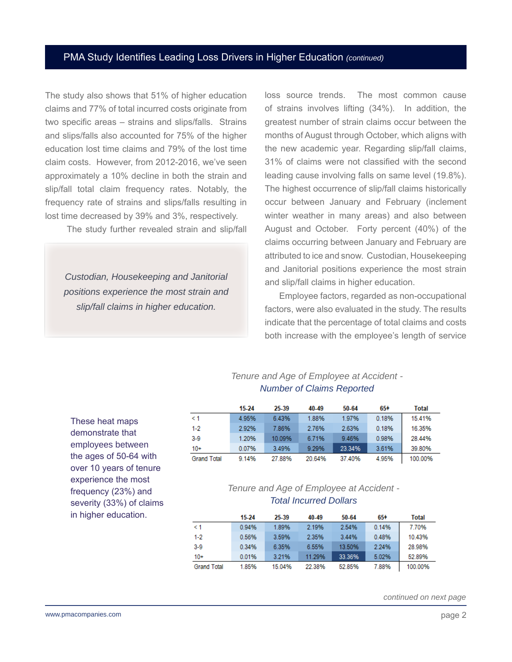## PMA Study Identifies Leading Loss Drivers in Higher Education *(continued)*

The study also shows that 51% of higher education claims and 77% of total incurred costs originate from two specific areas – strains and slips/falls. Strains and slips/falls also accounted for 75% of the higher education lost time claims and 79% of the lost time claim costs. However, from 2012-2016, we've seen approximately a 10% decline in both the strain and slip/fall total claim frequency rates. Notably, the frequency rate of strains and slips/falls resulting in lost time decreased by 39% and 3%, respectively.

The study further revealed strain and slip/fall

*Custodian, Housekeeping and Janitorial positions experience the most strain and slip/fall claims in higher education.* 

loss source trends. The most common cause of strains involves lifting (34%). In addition, the greatest number of strain claims occur between the months of August through October, which aligns with the new academic year. Regarding slip/fall claims, 31% of claims were not classified with the second leading cause involving falls on same level (19.8%). The highest occurrence of slip/fall claims historically occur between January and February (inclement winter weather in many areas) and also between August and October. Forty percent (40%) of the claims occurring between January and February are attributed to ice and snow. Custodian, Housekeeping and Janitorial positions experience the most strain and slip/fall claims in higher education.

 Employee factors, regarded as non-occupational factors, were also evaluated in the study. The results indicate that the percentage of total claims and costs both increase with the employee's length of service

#### *Tenure and Age of Employee at Accident - Number of Claims Reported*

|                    | $15-24$ | 25-39  | 40-49  | 50-64  | 65+   | Total   |
|--------------------|---------|--------|--------|--------|-------|---------|
| $\leq 1$           | 4.95%   | 6.43%  | 1.88%  | 1.97%  | 0.18% | 15.41%  |
| $1-2$              | 2.92%   | 7.86%  | 2.76%  | 2.63%  | 0.18% | 16.35%  |
| $3-9$              | 1.20%   | 10.09% | 6.71%  | 9.46%  | 0.98% | 28.44%  |
| $10+$              | 0.07%   | 3.49%  | 9.29%  | 23.34% | 3.61% | 39.80%  |
| <b>Grand Total</b> | 9.14%   | 27.88% | 20.64% | 37,40% | 4.95% | 100.00% |

These heat maps demonstrate that employees between the ages of 50-64 with over 10 years of tenure experience the most frequency (23%) and severity (33%) of claims in higher education.

### *Tenure and Age of Employee at Accident - Total Incurred Dollars*

|                    | $15-24$ | 25-39   | 40-49  | 50-64  | 65+   | Total   |
|--------------------|---------|---------|--------|--------|-------|---------|
| $\leq 1$           | 0.94%   | 1.89%   | 2.19%  | 2.54%  | 0.14% | 7.70%   |
| $1-2$              | 0.56%   | 359%    | 2.35%  | 3.44%  | 0.48% | 10.43%  |
| $3-9$              | 0.34%   | 6.35%   | 6.55%  | 13.50% | 2.24% | 28.98%  |
| $10+$              | 0.01%   | 3 2 1 % | 11.29% | 33.36% | 5.02% | 52.89%  |
| <b>Grand Total</b> | 1.85%   | 15.04%  | 22.38% | 52.85% | 7.88% | 100.00% |

*continued on next page*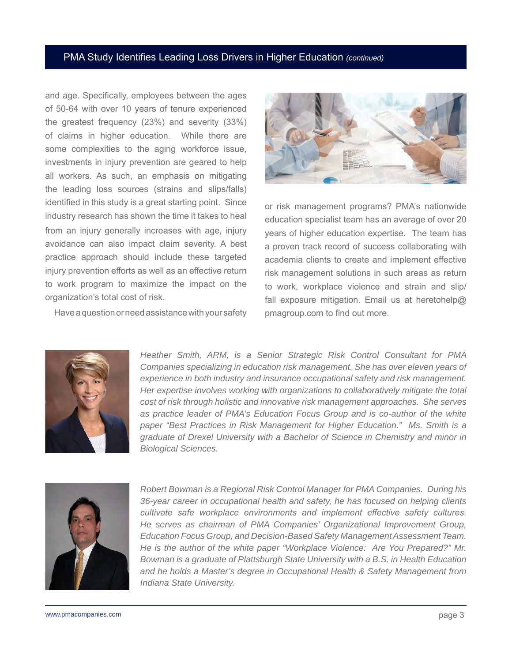#### PMA Study Identifies Leading Loss Drivers in Higher Education *(continued)*

and age. Specifically, employees between the ages of 50-64 with over 10 years of tenure experienced the greatest frequency (23%) and severity (33%) of claims in higher education. While there are some complexities to the aging workforce issue, investments in injury prevention are geared to help all workers. As such, an emphasis on mitigating the leading loss sources (strains and slips/falls) identified in this study is a great starting point. Since industry research has shown the time it takes to heal from an injury generally increases with age, injury avoidance can also impact claim severity. A best practice approach should include these targeted injury prevention efforts as well as an effective return to work program to maximize the impact on the organization's total cost of risk.

Have a question or need assistance with your safety



or risk management programs? PMA's nationwide education specialist team has an average of over 20 years of higher education expertise. The team has a proven track record of success collaborating with academia clients to create and implement effective risk management solutions in such areas as return to work, workplace violence and strain and slip/ fall exposure mitigation. Email us at heretohelp@ pmagroup.com to find out more.



*Heather Smith, ARM, is a Senior Strategic Risk Control Consultant for PMA Companies specializing in education risk management. She has over eleven years of experience in both industry and insurance occupational safety and risk management. Her expertise involves working with organizations to collaboratively mitigate the total cost of risk through holistic and innovative risk management approaches. She serves*  as practice leader of PMA's Education Focus Group and is co-author of the white *paper "Best Practices in Risk Management for Higher Education." Ms. Smith is a graduate of Drexel University with a Bachelor of Science in Chemistry and minor in Biological Sciences.*



*Robert Bowman is a Regional Risk Control Manager for PMA Companies. During his 36-year career in occupational health and safety, he has focused on helping clients cultivate safe workplace environments and implement effective safety cultures. He serves as chairman of PMA Companies' Organizational Improvement Group, Education Focus Group, and Decision-Based Safety Management Assessment Team. He is the author of the white paper "Workplace Violence: Are You Prepared?" Mr. Bowman is a graduate of Plattsburgh State University with a B.S. in Health Education and he holds a Master's degree in Occupational Health & Safety Management from Indiana State University.*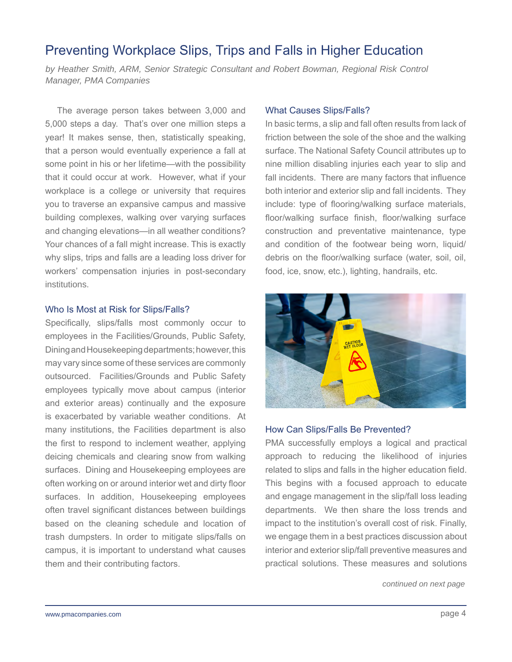# Preventing Workplace Slips, Trips and Falls in Higher Education

by Heather Smith, ARM, Senior Strategic Consultant and Robert Bowman, Regional Risk Control *Manager, PMA Companies*

 The average person takes between 3,000 and 5,000 steps a day. That's over one million steps a year! It makes sense, then, statistically speaking, that a person would eventually experience a fall at some point in his or her lifetime—with the possibility that it could occur at work. However, what if your workplace is a college or university that requires you to traverse an expansive campus and massive building complexes, walking over varying surfaces and changing elevations—in all weather conditions? Your chances of a fall might increase. This is exactly why slips, trips and falls are a leading loss driver for workers' compensation injuries in post-secondary institutions.

#### Who Is Most at Risk for Slips/Falls?

Specifically, slips/falls most commonly occur to employees in the Facilities/Grounds, Public Safety, Dining and Housekeeping departments; however, this may vary since some of these services are commonly outsourced. Facilities/Grounds and Public Safety employees typically move about campus (interior and exterior areas) continually and the exposure is exacerbated by variable weather conditions. At many institutions, the Facilities department is also the first to respond to inclement weather, applying deicing chemicals and clearing snow from walking surfaces. Dining and Housekeeping employees are often working on or around interior wet and dirty floor surfaces. In addition, Housekeeping employees often travel significant distances between buildings based on the cleaning schedule and location of trash dumpsters. In order to mitigate slips/falls on campus, it is important to understand what causes them and their contributing factors.

#### What Causes Slips/Falls?

In basic terms, a slip and fall often results from lack of friction between the sole of the shoe and the walking surface. The National Safety Council attributes up to nine million disabling injuries each year to slip and fall incidents. There are many factors that influence both interior and exterior slip and fall incidents. They include: type of flooring/walking surface materials, floor/walking surface finish, floor/walking surface construction and preventative maintenance, type and condition of the footwear being worn, liquid/ debris on the floor/walking surface (water, soil, oil, food, ice, snow, etc.), lighting, handrails, etc.



#### How Can Slips/Falls Be Prevented?

PMA successfully employs a logical and practical approach to reducing the likelihood of injuries related to slips and falls in the higher education field. This begins with a focused approach to educate and engage management in the slip/fall loss leading departments. We then share the loss trends and impact to the institution's overall cost of risk. Finally, we engage them in a best practices discussion about interior and exterior slip/fall preventive measures and practical solutions. These measures and solutions

*continued on next page*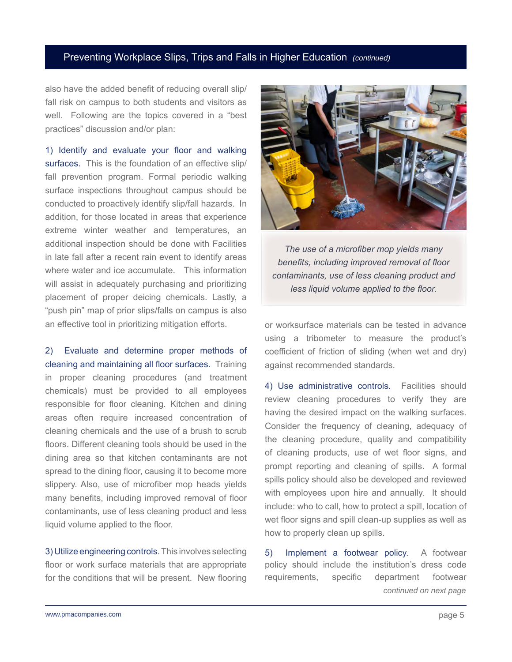#### Preventing Workplace Slips, Trips and Falls in Higher Education *(continued)*

also have the added benefit of reducing overall slip/ fall risk on campus to both students and visitors as well. Following are the topics covered in a "best practices" discussion and/or plan:

1) Identify and evaluate your floor and walking surfaces. This is the foundation of an effective slip/ fall prevention program. Formal periodic walking surface inspections throughout campus should be conducted to proactively identify slip/fall hazards. In addition, for those located in areas that experience extreme winter weather and temperatures, an additional inspection should be done with Facilities in late fall after a recent rain event to identify areas where water and ice accumulate. This information will assist in adequately purchasing and prioritizing placement of proper deicing chemicals. Lastly, a "push pin" map of prior slips/falls on campus is also an effective tool in prioritizing mitigation efforts.

2) Evaluate and determine proper methods of cleaning and maintaining all floor surfaces.Training in proper cleaning procedures (and treatment chemicals) must be provided to all employees responsible for floor cleaning. Kitchen and dining areas often require increased concentration of cleaning chemicals and the use of a brush to scrub floors. Different cleaning tools should be used in the dining area so that kitchen contaminants are not spread to the dining floor, causing it to become more slippery. Also, use of microfiber mop heads yields many benefits, including improved removal of floor contaminants, use of less cleaning product and less liquid volume applied to the floor.

3) Utilize engineering controls. This involves selecting floor or work surface materials that are appropriate for the conditions that will be present. New flooring



*The use of a microfiber mop yields many benefits, including improved removal of floor contaminants, use of less cleaning product and less liquid volume applied to the floor.*

or worksurface materials can be tested in advance using a tribometer to measure the product's coefficient of friction of sliding (when wet and dry) against recommended standards.

4) Use administrative controls. Facilities should review cleaning procedures to verify they are having the desired impact on the walking surfaces. Consider the frequency of cleaning, adequacy of the cleaning procedure, quality and compatibility of cleaning products, use of wet floor signs, and prompt reporting and cleaning of spills. A formal spills policy should also be developed and reviewed with employees upon hire and annually. It should include: who to call, how to protect a spill, location of wet floor signs and spill clean-up supplies as well as how to properly clean up spills.

5) Implement a footwear policy. A footwear policy should include the institution's dress code requirements, specific department footwear *continued on next page*